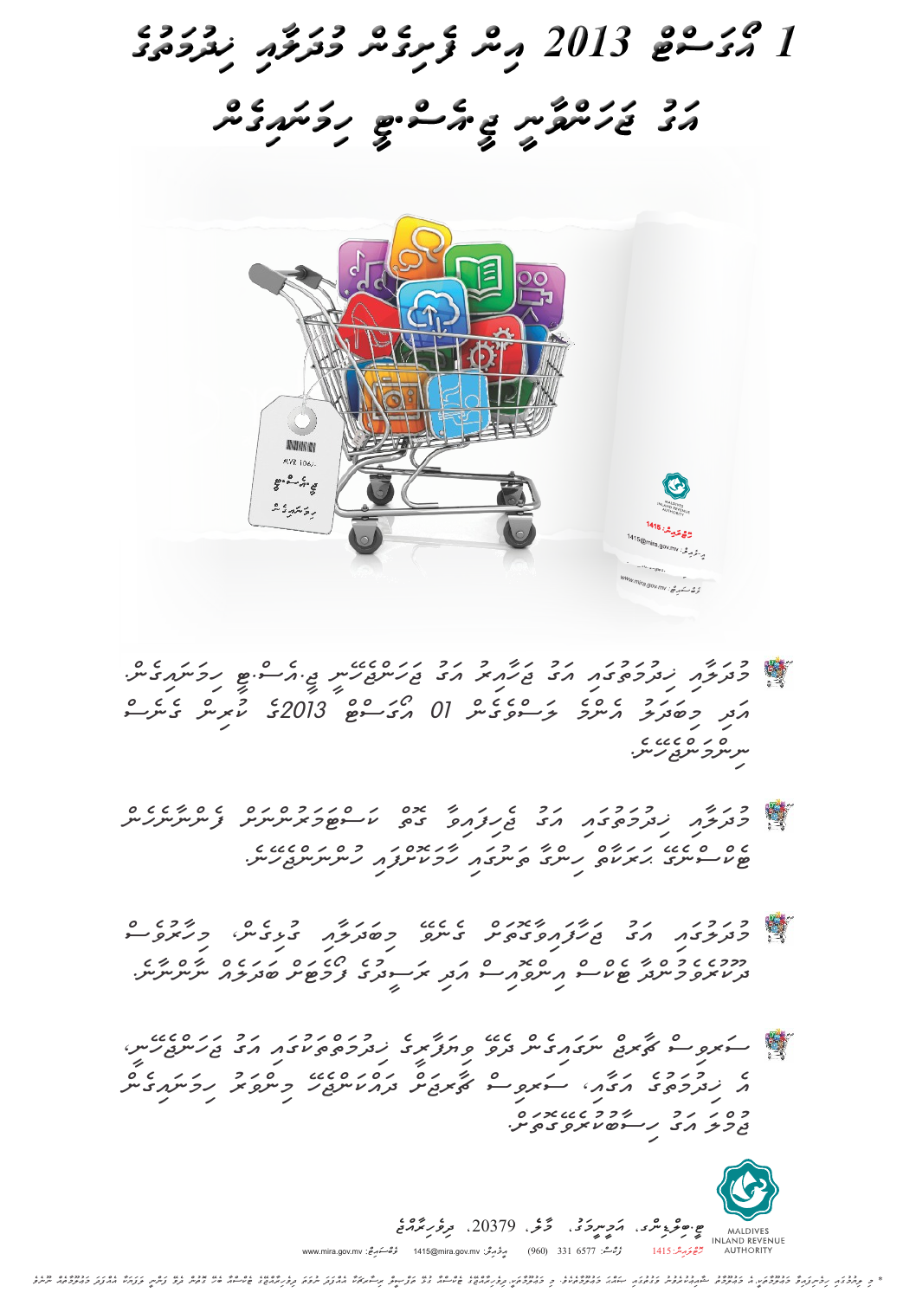

- *himwnwaigenc. jI.aesc.TI jwhwncjehEnI awgu jwhWairu awgu Kidumwtugwai mudwlWai genesc kurinc 3102ge aOgwscTc 10 lwscvegenc aencme mibwdwlu awdi n ccco او ده*<br>سرسرچ سرچ رس
	- *fencnWnehenc kwscTwmwruncnwSc gotc jehifwaivW awgu Kidumwtugwai mudwlWai huncnwncjehEne. hWmwkoScfwai twnugwai hincgW HwrwkWtc TekcscnegE*
- *mihWruvesc guLigenc, mibwdwlWai genevE jwhWfwaivWgotwSc awgu mudwlugwai nWncnWne. bwdwleac fOmeTwSc rwsIduge awdi aincvoaisc Tekcsc evemuncdW ur dUk*

*jwhwncjehEnI, awgu Kidumwtctwkugwai viywfWrIge devE nwgwaigenc CWrjc swrvisc himwnwaigenc mincvwru dwackwncjehE CWrjwSc swrvisc awgWai, Kidumwtuge ae hisWbukurevEgotwSc. awgu jumclw*